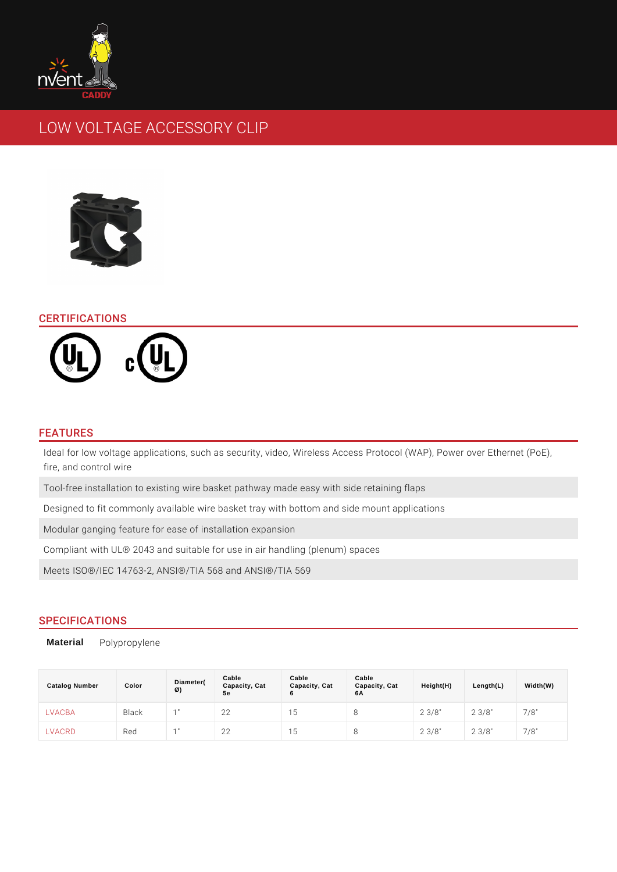# LOW VOLTAGE ACCESSORY CLIP

#### CERTIFICATIONS

#### FEATURES

Ideal for low voltage applications, such as security, video, Wireless Access Pro fire, and control wire

Tool-free installation to existing wire basket pathway made easy with side retai Designed to fit commonly available wire basket tray with bottom and side mount Modular ganging feature for ease of installation expansion

Compliant with UL® 2043 and suitable for use in air handling (plenum) spaces Meets ISO®/IEC 14763-2, ANSI®/TIA 568 and ANSI®/TIA 569

## SPECIFICATIONS

Material Polypropylene

| Catalog Number | Color        | Diameter(<br>Ø) | Cable<br>Capacity, Cat<br>5e | Cable<br>Capacity, Cat<br>6 | Cable<br>Capacity, Cat<br>6A | Height(H)  | Length(L)   | Width(W) |
|----------------|--------------|-----------------|------------------------------|-----------------------------|------------------------------|------------|-------------|----------|
| LVACBA         | <b>Black</b> | 1 <sup>1</sup>  | 22                           | 5                           | ŏ                            | $2 \t3/8"$ | $2 \t3/8$ " | 7/8"     |
| LVACRD         | Red          | 4 <sub>  </sub> | 22                           | -5                          | Ջ                            | $2 \t3/8"$ | $2 \t3/8"$  | 7/8"     |